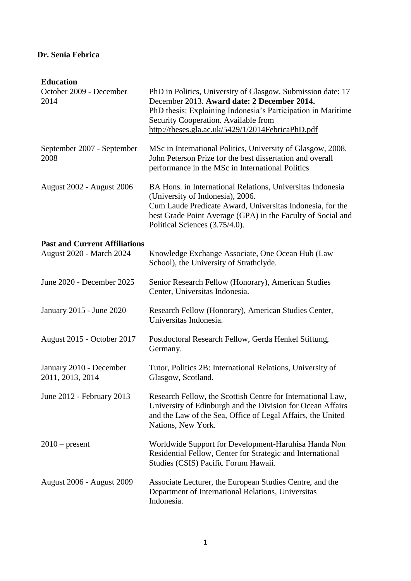## **Dr. Senia Febrica**

## **Education**

| October 2009 - December<br>2014                                  | PhD in Politics, University of Glasgow. Submission date: 17<br>December 2013. Award date: 2 December 2014.<br>PhD thesis: Explaining Indonesia's Participation in Maritime<br>Security Cooperation. Available from<br>http://theses.gla.ac.uk/5429/1/2014FebricaPhD.pdf |
|------------------------------------------------------------------|-------------------------------------------------------------------------------------------------------------------------------------------------------------------------------------------------------------------------------------------------------------------------|
| September 2007 - September<br>2008                               | MSc in International Politics, University of Glasgow, 2008.<br>John Peterson Prize for the best dissertation and overall<br>performance in the MSc in International Politics                                                                                            |
| <b>August 2002 - August 2006</b>                                 | BA Hons. in International Relations, Universitas Indonesia<br>(University of Indonesia), 2006.<br>Cum Laude Predicate Award, Universitas Indonesia, for the<br>best Grade Point Average (GPA) in the Faculty of Social and<br>Political Sciences (3.75/4.0).            |
| <b>Past and Current Affiliations</b><br>August 2020 - March 2024 | Knowledge Exchange Associate, One Ocean Hub (Law<br>School), the University of Strathclyde.                                                                                                                                                                             |
| June 2020 - December 2025                                        | Senior Research Fellow (Honorary), American Studies<br>Center, Universitas Indonesia.                                                                                                                                                                                   |
| January 2015 - June 2020                                         | Research Fellow (Honorary), American Studies Center,<br>Universitas Indonesia.                                                                                                                                                                                          |
| August 2015 - October 2017                                       | Postdoctoral Research Fellow, Gerda Henkel Stiftung,<br>Germany.                                                                                                                                                                                                        |
| January 2010 - December<br>2011, 2013, 2014                      | Tutor, Politics 2B: International Relations, University of<br>Glasgow, Scotland.                                                                                                                                                                                        |
| June 2012 - February 2013                                        | Research Fellow, the Scottish Centre for International Law,<br>University of Edinburgh and the Division for Ocean Affairs<br>and the Law of the Sea, Office of Legal Affairs, the United<br>Nations, New York.                                                          |
| $2010$ – present                                                 | Worldwide Support for Development-Haruhisa Handa Non<br>Residential Fellow, Center for Strategic and International<br>Studies (CSIS) Pacific Forum Hawaii.                                                                                                              |
| <b>August 2006 - August 2009</b>                                 | Associate Lecturer, the European Studies Centre, and the<br>Department of International Relations, Universitas<br>Indonesia.                                                                                                                                            |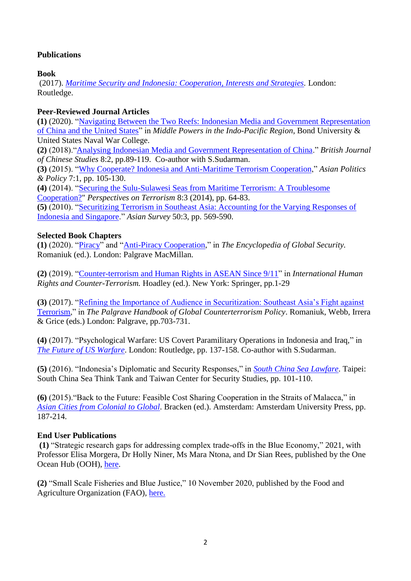## **Publications**

**Book**

(2017). *[Maritime Security and Indonesia: Cooperation, Interests and Strategies.](https://www.routledge.com/Maritime-Security-and-Indonesia-Cooperation-Interests-and-Strategies/Febrica/p/book/9781138348219)* London: Routledge.

### **Peer-Reviewed Journal Articles**

**(1)** (2020). ["Navigating Between the Two Reefs: Indonesian Media and Government Representation](https://easc.scholasticahq.com/article/14187-navigating-between-the-two-reefs-indonesian-media-and-government-representation-of-china-and-the-united-states)  [of China and the United States"](https://easc.scholasticahq.com/article/14187-navigating-between-the-two-reefs-indonesian-media-and-government-representation-of-china-and-the-united-states) in *Middle Powers in the Indo-Pacific Region*, Bond University & United States Naval War College.

**(2)** (2018).["Analysing Indonesian Media and Government Representation of China.](http://bacsuk.org.uk/wp-content/uploads/2018/07/JBACS-8.2-Febrica-and-Sudarman-89-119.pdf)" *British Journal of Chinese Studies* 8:2, pp.89-119. Co-author with S.Sudarman.

**(3)** (2015). ["Why Cooperate? Indonesia and Anti-Maritime Terrorism Cooperation,](https://onlinelibrary.wiley.com/doi/full/10.1111/aspp.12162)" *Asian Politics & Policy* 7:1, pp. 105-130.

**(4)** (2014). ["Securing the Sulu-Sulawesi Seas from Maritime Terrorism: A Troublesome](https://www.jstor.org/stable/pdf/26297173.pdf)  [Cooperation?"](https://www.jstor.org/stable/pdf/26297173.pdf) *Perspectives on Terrorism* 8:3 (2014), pp. 64-83.

**(5)** (2010). ["Securitizing Terrorism in Southeast Asia: Accounting for the Varying Responses of](https://online.ucpress.edu/as/article-abstract/50/3/569/24362/Securitizing-Terrorism-in-Southeast-Asia?redirectedFrom=fulltext)  [Indonesia and Singapore.](https://online.ucpress.edu/as/article-abstract/50/3/569/24362/Securitizing-Terrorism-in-Southeast-Asia?redirectedFrom=fulltext)" *Asian Survey* 50:3, pp. 569-590.

#### **Selected Book Chapters**

**(1)** (2020). ["Piracy"](https://link.springer.com/referenceworkentry/10.1007/978-3-319-74336-3_353-1) and ["Anti-Piracy Cooperation,](https://link.springer.com/referenceworkentry/10.1007/978-3-319-74336-3_310-1)" in *The Encyclopedia of Global Security.* Romaniuk (ed.). London: Palgrave MacMillan.

**(2)** (2019). ["Counter-terrorism and Human Rights in ASEAN Since 9/11"](https://link.springer.com/referenceworkentry/10.1007/978-981-10-3894-5_10-2) in *International Human Rights and Counter-Terrorism.* Hoadley (ed.). New York: Springer, pp.1-29

**(3)** (2017). ["Refining the Importance of Audience in Securitization: Southeast Asia's Fight against](https://link.springer.com/chapter/10.1057/978-1-137-55769-8_33)  [Terrorism,](https://link.springer.com/chapter/10.1057/978-1-137-55769-8_33)" in *The Palgrave Handbook of Global Counterterrorism Policy*. Romaniuk, Webb, Irrera & Grice (eds.) London: Palgrave, pp.703-731.

**(4)** (2017). "Psychological Warfare: US Covert Paramilitary Operations in Indonesia and Iraq," in *[The Future of US Warfare](https://www.routledge.com/The-Future-of-US-Warfare/Romaniuk-Grice/p/book/9781138393691)*. London: Routledge, pp. 137-158. Co-author with S.Sudarman.

**(5)** (2016). "Indonesia's Diplomatic and Security Responses," in *[South China Sea Lawfare](https://books.google.co.uk/books?id=ny5qDwAAQBAJ&pg=PA34&lpg=PA34&dq=South+China+Sea,+senia+febrica,+fu+kuo+liu&source=bl&ots=plfQKGSSS5&sig=ACfU3U0qY-GpUEbmHVEjJzpXwKfBWJ9h3Q&hl=en&sa=X&ved=2ahUKEwihh4q_45TvAhXTasAKHbFeD0QQ6AEwBXoECAoQAw#v=onepage&q=South%20China%20Sea%2C%20senia%20febrica%2C%20fu%20kuo%20liu&f=false)*. Taipei: South China Sea Think Tank and Taiwan Center for Security Studies, pp. 101-110.

**(6)** (2015)."Back to the Future: Feasible Cost Sharing Cooperation in the Straits of Malacca," in *[Asian Cities from Colonial to Global](https://muse.jhu.edu/book/66268)*. Bracken (ed.). Amsterdam: Amsterdam University Press, pp. 187-214.

#### **End User Publications**

**(1)** "Strategic research gaps for addressing complex trade-offs in the Blue Economy," 2021, with Professor Elisa Morgera, Dr Holly Niner, Ms Mara Ntona, and Dr Sian Rees, published by the One Ocean Hub (OOH), [here.](https://oneoceanhub.org/strategic-research-gaps-for-addressing-complex-trade-offs-in-the-blue-economy/)

**(2)** "Small Scale Fisheries and Blue Justice," 10 November 2020, published by the Food and Agriculture Organization (FAO), [here.](http://www.fao.org/voluntary-guidelines-small-scale-fisheries/news-and-events/detail/en/c/1331037/)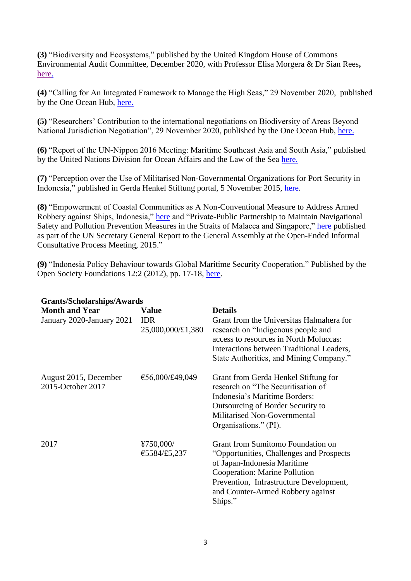**(3)** "Biodiversity and Ecosystems," published by the United Kingdom House of Commons Environmental Audit Committee, December 2020, with Professor Elisa Morgera & Dr Sian Rees**,**  [here.](https://committees.parliament.uk/writtenevidence/18245/pdf/)

**(4)** "Calling for An Integrated Framework to Manage the High Seas," 29 November 2020, published by the One Ocean Hub, [here.](https://oneoceanhub.org/calling-for-an-integrated-framework-to-manage-the-high-seas/)

**(5)** "Researchers' Contribution to the international negotiations on Biodiversity of Areas Beyond National Jurisdiction Negotiation", 29 November 2020, published by the One Ocean Hub, [here.](https://oneoceanhub.org/areas-beyond-national-jurisdiction-negotiation/)

**(6)** "Report of the UN-Nippon 2016 Meeting: Maritime Southeast Asia and South Asia," published by the United Nations Division for Ocean Affairs and the Law of the Sea [here.](https://www.un.org/depts/los/nippon/unnff_programme_home/alumni/UNNF_9_Programme.pdf)

**(7)** "Perception over the Use of Militarised Non-Governmental Organizations for Port Security in Indonesia," published in Gerda Henkel Stiftung portal, 5 November 2015, [here.](http://www.lisa.gerda-henkel-stiftung.de/port_security_indonesia)

**(8)** "Empowerment of Coastal Communities as A Non-Conventional Measure to Address Armed Robbery against Ships, Indonesia," [here](http://www.un.org/depts/los/nippon/unnff_programme_home/unnff_programme_sg_report/SeniaFebrica_Community_Empowerment.pdf) and "Private-Public Partnership to Maintain Navigational Safety and Pollution Prevention Measures in the Straits of Malacca and Singapore," [here](http://www.un.org/depts/los/nippon/unnff_programme_home/unnff_programme_sg_report/SeniaFebrica_Public-Private_Partnership.pdf) published as part of the UN Secretary General Report to the General Assembly at the Open-Ended Informal Consultative Process Meeting, 2015."

**(9)** "Indonesia Policy Behaviour towards Global Maritime Security Cooperation." Published by the Open Society Foundations 12:2 (2012), pp. 17-18, [here.](http://www.opensocietyfoundations.org/sites/default/files/scholarforum-15-20130514.pdf.)

| Grants/Scholarships/Awards                 |                                 |                                                                                                                                                                                                                                           |
|--------------------------------------------|---------------------------------|-------------------------------------------------------------------------------------------------------------------------------------------------------------------------------------------------------------------------------------------|
| <b>Month and Year</b>                      | <b>Value</b>                    | <b>Details</b>                                                                                                                                                                                                                            |
| January 2020-January 2021                  | <b>IDR</b><br>25,000,000/£1,380 | Grant from the Universitas Halmahera for<br>research on "Indigenous people and<br>access to resources in North Moluccas:<br>Interactions between Traditional Leaders,<br>State Authorities, and Mining Company."                          |
| August 2015, December<br>2015-October 2017 | €56,000/£49,049                 | Grant from Gerda Henkel Stiftung for<br>research on "The Securitisation of<br>Indonesia's Maritime Borders:<br>Outsourcing of Border Security to<br>Militarised Non-Governmental<br>Organisations." (PI).                                 |
| 2017                                       | ¥750,000/<br>€5584/£5,237       | Grant from Sumitomo Foundation on<br>"Opportunities, Challenges and Prospects"<br>of Japan-Indonesia Maritime<br>Cooperation: Marine Pollution<br>Prevention, Infrastructure Development,<br>and Counter-Armed Robbery against<br>Ships." |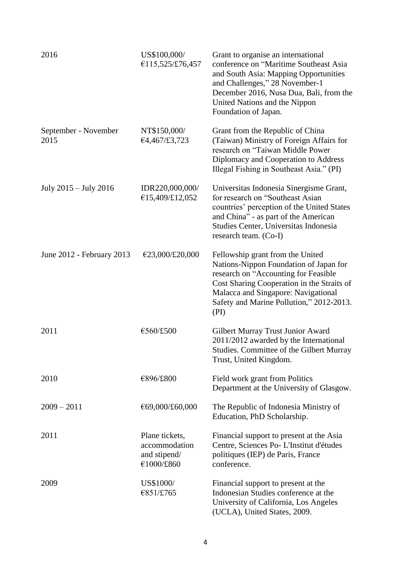| 2016                         | US\$100,000/<br>€115,525/£76,457                              | Grant to organise an international<br>conference on "Maritime Southeast Asia<br>and South Asia: Mapping Opportunities<br>and Challenges," 28 November-1<br>December 2016, Nusa Dua, Bali, from the<br>United Nations and the Nippon<br>Foundation of Japan. |
|------------------------------|---------------------------------------------------------------|-------------------------------------------------------------------------------------------------------------------------------------------------------------------------------------------------------------------------------------------------------------|
| September - November<br>2015 | NT\$150,000/<br>€4,467/£3,723                                 | Grant from the Republic of China<br>(Taiwan) Ministry of Foreign Affairs for<br>research on "Taiwan Middle Power<br>Diplomacy and Cooperation to Address<br>Illegal Fishing in Southeast Asia." (PI)                                                        |
| July 2015 – July 2016        | IDR220,000,000/<br>€15,409/£12,052                            | Universitas Indonesia Sinergisme Grant,<br>for research on "Southeast Asian"<br>countries' perception of the United States<br>and China" - as part of the American<br>Studies Center, Universitas Indonesia<br>research team. (Co-I)                        |
| June 2012 - February 2013    | €23,000/£20,000                                               | Fellowship grant from the United<br>Nations-Nippon Foundation of Japan for<br>research on "Accounting for Feasible<br>Cost Sharing Cooperation in the Straits of<br>Malacca and Singapore: Navigational<br>Safety and Marine Pollution," 2012-2013.<br>(PI) |
| 2011                         | €560/£500                                                     | Gilbert Murray Trust Junior Award<br>2011/2012 awarded by the International<br>Studies. Committee of the Gilbert Murray<br>Trust, United Kingdom.                                                                                                           |
| 2010                         | €896/£800                                                     | Field work grant from Politics<br>Department at the University of Glasgow.                                                                                                                                                                                  |
| $2009 - 2011$                | €69,000/£60,000                                               | The Republic of Indonesia Ministry of<br>Education, PhD Scholarship.                                                                                                                                                                                        |
| 2011                         | Plane tickets,<br>accommodation<br>and stipend/<br>€1000/£860 | Financial support to present at the Asia<br>Centre, Sciences Po-L'Institut d'études<br>politiques (IEP) de Paris, France<br>conference.                                                                                                                     |
| 2009                         | US\$1000/<br>€851/£765                                        | Financial support to present at the<br>Indonesian Studies conference at the<br>University of California, Los Angeles<br>(UCLA), United States, 2009.                                                                                                        |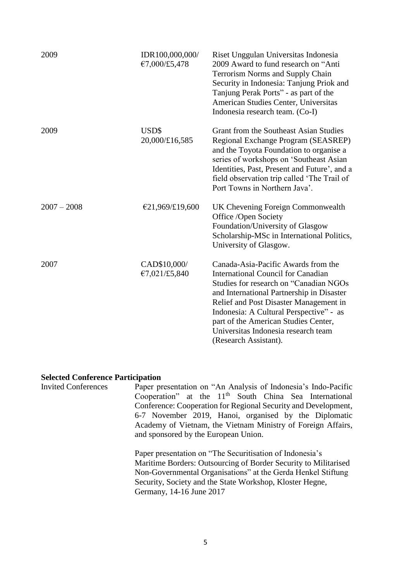| 2009          | IDR100,000,000/<br>€7,000/£5,478 | Riset Unggulan Universitas Indonesia<br>2009 Award to fund research on "Anti<br><b>Terrorism Norms and Supply Chain</b><br>Security in Indonesia: Tanjung Priok and<br>Tanjung Perak Ports" - as part of the<br>American Studies Center, Universitas<br>Indonesia research team. (Co-I)                                                                       |
|---------------|----------------------------------|---------------------------------------------------------------------------------------------------------------------------------------------------------------------------------------------------------------------------------------------------------------------------------------------------------------------------------------------------------------|
| 2009          | USD\$<br>20,000/£16,585          | Grant from the Southeast Asian Studies<br>Regional Exchange Program (SEASREP)<br>and the Toyota Foundation to organise a<br>series of workshops on 'Southeast Asian<br>Identities, Past, Present and Future', and a<br>field observation trip called 'The Trail of<br>Port Towns in Northern Java'.                                                           |
| $2007 - 2008$ | €21,969/£19,600                  | UK Chevening Foreign Commonwealth<br>Office /Open Society<br>Foundation/University of Glasgow<br>Scholarship-MSc in International Politics,<br>University of Glasgow.                                                                                                                                                                                         |
| 2007          | CAD\$10,000/<br>€7,021/£5,840    | Canada-Asia-Pacific Awards from the<br>International Council for Canadian<br>Studies for research on "Canadian NGOs<br>and International Partnership in Disaster<br>Relief and Post Disaster Management in<br>Indonesia: A Cultural Perspective" - as<br>part of the American Studies Center,<br>Universitas Indonesia research team<br>(Research Assistant). |

#### **Selected Conference Participation**

Invited Conferences Paper presentation on "An Analysis of Indonesia's Indo-Pacific Cooperation" at the  $11<sup>th</sup>$  South China Sea International Conference: Cooperation for Regional Security and Development, 6-7 November 2019, Hanoi, organised by the Diplomatic Academy of Vietnam, the Vietnam Ministry of Foreign Affairs, and sponsored by the European Union.

> Paper presentation on "The Securitisation of Indonesia's Maritime Borders: Outsourcing of Border Security to Militarised Non-Governmental Organisations" at the Gerda Henkel Stiftung Security, Society and the State Workshop, Kloster Hegne, Germany, 14-16 June 2017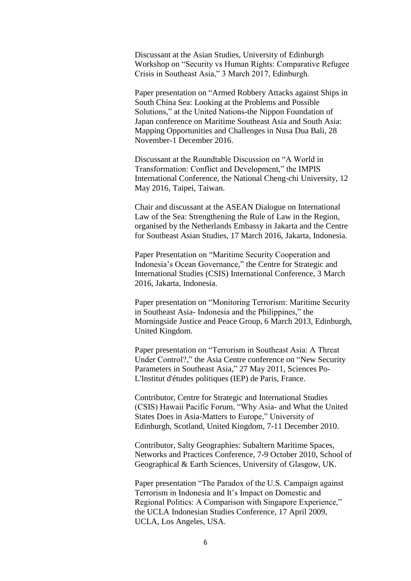Discussant at the Asian Studies, University of Edinburgh Workshop on "Security vs Human Rights: Comparative Refugee Crisis in Southeast Asia," 3 March 2017, Edinburgh.

Paper presentation on "Armed Robbery Attacks against Ships in South China Sea: Looking at the Problems and Possible Solutions," at the United Nations-the Nippon Foundation of Japan conference on Maritime Southeast Asia and South Asia: Mapping Opportunities and Challenges in Nusa Dua Bali, 28 November-1 December 2016.

Discussant at the Roundtable Discussion on "A World in Transformation: Conflict and Development," the IMPIS International Conference, the National Cheng-chi University, 12 May 2016, Taipei, Taiwan.

Chair and discussant at the ASEAN Dialogue on International Law of the Sea: Strengthening the Rule of Law in the Region, organised by the Netherlands Embassy in Jakarta and the Centre for Southeast Asian Studies, 17 March 2016, Jakarta, Indonesia.

Paper Presentation on "Maritime Security Cooperation and Indonesia's Ocean Governance," the Centre for Strategic and International Studies (CSIS) International Conference, 3 March 2016, Jakarta, Indonesia.

Paper presentation on "Monitoring Terrorism: Maritime Security in Southeast Asia- Indonesia and the Philippines," the Morningside Justice and Peace Group, 6 March 2013, Edinburgh, United Kingdom.

Paper presentation on "Terrorism in Southeast Asia: A Threat Under Control?," the Asia Centre conference on "New Security Parameters in Southeast Asia," 27 May 2011, Sciences Po-L'Institut d'études politiques (IEP) de Paris, France.

Contributor, Centre for Strategic and International Studies (CSIS) Hawaii Pacific Forum, "Why Asia- and What the United States Does in Asia-Matters to Europe," University of Edinburgh, Scotland, United Kingdom, 7-11 December 2010.

Contributor, Salty Geographies: Subaltern Maritime Spaces, Networks and Practices Conference, 7-9 October 2010, School of Geographical & Earth Sciences, University of Glasgow, UK.

Paper presentation "The Paradox of the U.S. Campaign against Terrorism in Indonesia and It's Impact on Domestic and Regional Politics: A Comparison with Singapore Experience," the UCLA Indonesian Studies Conference, 17 April 2009, UCLA, Los Angeles, USA.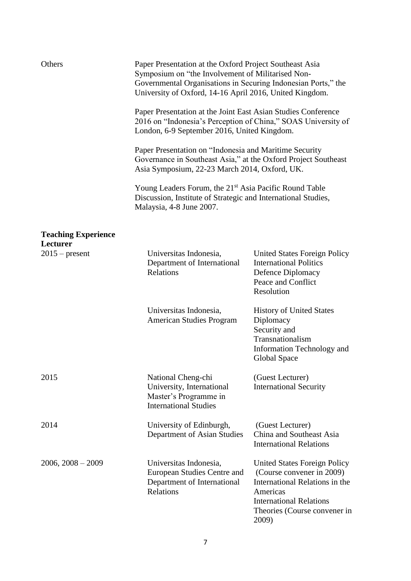| Others                       | Paper Presentation at the Oxford Project Southeast Asia<br>Symposium on "the Involvement of Militarised Non-<br>Governmental Organisations in Securing Indonesian Ports," the<br>University of Oxford, 14-16 April 2016, United Kingdom.                                                                                                                                                                                                                                                                                      |                                                                                                                                                                                           |  |
|------------------------------|-------------------------------------------------------------------------------------------------------------------------------------------------------------------------------------------------------------------------------------------------------------------------------------------------------------------------------------------------------------------------------------------------------------------------------------------------------------------------------------------------------------------------------|-------------------------------------------------------------------------------------------------------------------------------------------------------------------------------------------|--|
|                              | Paper Presentation at the Joint East Asian Studies Conference<br>2016 on "Indonesia's Perception of China," SOAS University of<br>London, 6-9 September 2016, United Kingdom.<br>Paper Presentation on "Indonesia and Maritime Security<br>Governance in Southeast Asia," at the Oxford Project Southeast<br>Asia Symposium, 22-23 March 2014, Oxford, UK.<br>Young Leaders Forum, the 21 <sup>st</sup> Asia Pacific Round Table<br>Discussion, Institute of Strategic and International Studies,<br>Malaysia, 4-8 June 2007. |                                                                                                                                                                                           |  |
|                              |                                                                                                                                                                                                                                                                                                                                                                                                                                                                                                                               |                                                                                                                                                                                           |  |
|                              |                                                                                                                                                                                                                                                                                                                                                                                                                                                                                                                               |                                                                                                                                                                                           |  |
| <b>Teaching Experience</b>   |                                                                                                                                                                                                                                                                                                                                                                                                                                                                                                                               |                                                                                                                                                                                           |  |
| Lecturer<br>$2015$ – present | Universitas Indonesia,<br>Department of International<br>Relations                                                                                                                                                                                                                                                                                                                                                                                                                                                            | <b>United States Foreign Policy</b><br><b>International Politics</b><br>Defence Diplomacy<br>Peace and Conflict<br>Resolution                                                             |  |
|                              | Universitas Indonesia,<br><b>American Studies Program</b>                                                                                                                                                                                                                                                                                                                                                                                                                                                                     | <b>History of United States</b><br>Diplomacy<br>Security and<br>Transnationalism<br>Information Technology and<br>Global Space                                                            |  |
| 2015                         | National Cheng-chi<br>University, International<br>Master's Programme in<br><b>International Studies</b>                                                                                                                                                                                                                                                                                                                                                                                                                      | (Guest Lecturer)<br><b>International Security</b>                                                                                                                                         |  |
| 2014                         | University of Edinburgh,<br>Department of Asian Studies                                                                                                                                                                                                                                                                                                                                                                                                                                                                       | (Guest Lecturer)<br>China and Southeast Asia<br><b>International Relations</b>                                                                                                            |  |
| $2006, 2008 - 2009$          | Universitas Indonesia,<br>European Studies Centre and<br>Department of International<br>Relations                                                                                                                                                                                                                                                                                                                                                                                                                             | <b>United States Foreign Policy</b><br>(Course convener in 2009)<br>International Relations in the<br>Americas<br><b>International Relations</b><br>Theories (Course convener in<br>2009) |  |